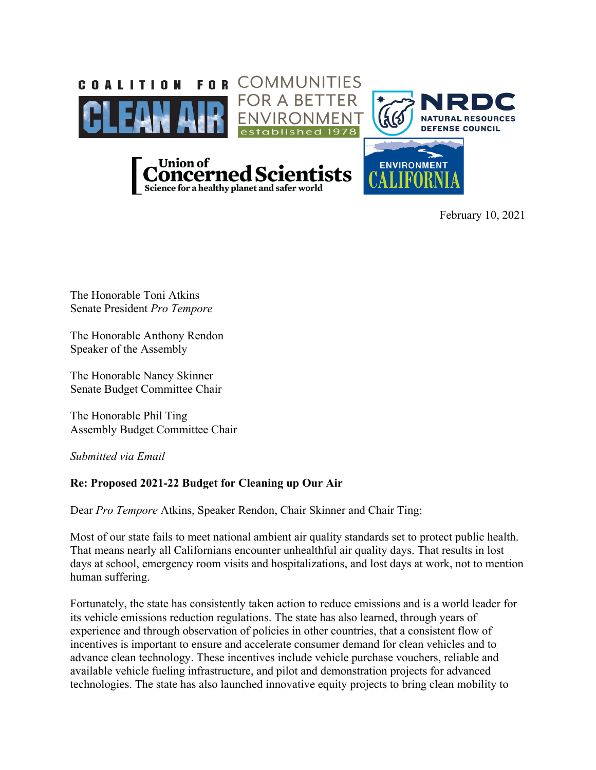

February 10, 2021

The Honorable Toni Atkins Senate President *Pro Tempore*

The Honorable Anthony Rendon Speaker of the Assembly

The Honorable Nancy Skinner Senate Budget Committee Chair

The Honorable Phil Ting Assembly Budget Committee Chair

*Submitted via Email* 

## **Re: Proposed 2021-22 Budget for Cleaning up Our Air**

Dear *Pro Tempore* Atkins, Speaker Rendon, Chair Skinner and Chair Ting:

Most of our state fails to meet national ambient air quality standards set to protect public health. That means nearly all Californians encounter unhealthful air quality days. That results in lost days at school, emergency room visits and hospitalizations, and lost days at work, not to mention human suffering.

Fortunately, the state has consistently taken action to reduce emissions and is a world leader for its vehicle emissions reduction regulations. The state has also learned, through years of experience and through observation of policies in other countries, that a consistent flow of incentives is important to ensure and accelerate consumer demand for clean vehicles and to advance clean technology. These incentives include vehicle purchase vouchers, reliable and available vehicle fueling infrastructure, and pilot and demonstration projects for advanced technologies. The state has also launched innovative equity projects to bring clean mobility to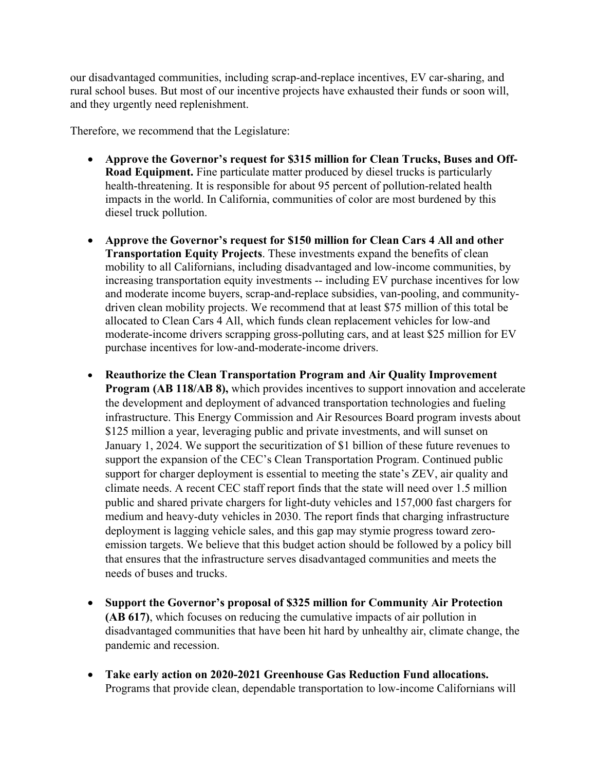our disadvantaged communities, including scrap-and-replace incentives, EV car-sharing, and rural school buses. But most of our incentive projects have exhausted their funds or soon will, and they urgently need replenishment.

Therefore, we recommend that the Legislature:

- **Approve the Governor's request for \$315 million for Clean Trucks, Buses and Off-Road Equipment.** Fine particulate matter produced by diesel trucks is particularly health-threatening. It is responsible for about 95 percent of pollution-related health impacts in the world. In California, communities of color are most burdened by this diesel truck pollution.
- **Approve the Governor's request for \$150 million for Clean Cars 4 All and other Transportation Equity Projects**. These investments expand the benefits of clean mobility to all Californians, including disadvantaged and low-income communities, by increasing transportation equity investments -- including EV purchase incentives for low and moderate income buyers, scrap-and-replace subsidies, van-pooling, and communitydriven clean mobility projects. We recommend that at least \$75 million of this total be allocated to Clean Cars 4 All, which funds clean replacement vehicles for low-and moderate-income drivers scrapping gross-polluting cars, and at least \$25 million for EV purchase incentives for low-and-moderate-income drivers.
- **Reauthorize the Clean Transportation Program and Air Quality Improvement Program (AB 118/AB 8),** which provides incentives to support innovation and accelerate the development and deployment of advanced transportation technologies and fueling infrastructure. This Energy Commission and Air Resources Board program invests about \$125 million a year, leveraging public and private investments, and will sunset on January 1, 2024. We support the securitization of \$1 billion of these future revenues to support the expansion of the CEC's Clean Transportation Program. Continued public support for charger deployment is essential to meeting the state's ZEV, air quality and climate needs. A recent CEC staff report finds that the state will need over 1.5 million public and shared private chargers for light-duty vehicles and 157,000 fast chargers for medium and heavy-duty vehicles in 2030. The report finds that charging infrastructure deployment is lagging vehicle sales, and this gap may stymie progress toward zeroemission targets. We believe that this budget action should be followed by a policy bill that ensures that the infrastructure serves disadvantaged communities and meets the needs of buses and trucks.
- **Support the Governor's proposal of \$325 million for Community Air Protection (AB 617)**, which focuses on reducing the cumulative impacts of air pollution in disadvantaged communities that have been hit hard by unhealthy air, climate change, the pandemic and recession.
- **Take early action on 2020-2021 Greenhouse Gas Reduction Fund allocations.** Programs that provide clean, dependable transportation to low-income Californians will